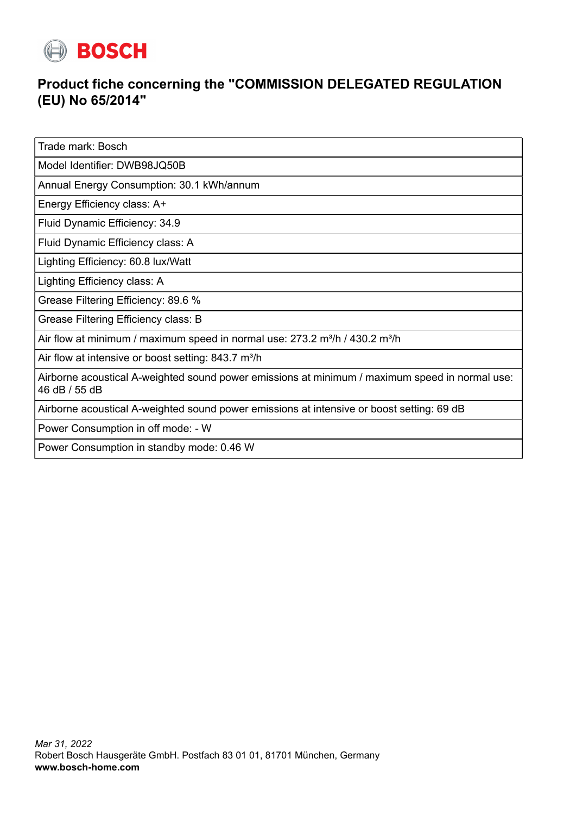

## **Product fiche concerning the "COMMISSION DELEGATED REGULATION (EU) No 65/2014"**

Trade mark: Bosch

Model Identifier: DWB98JQ50B

Annual Energy Consumption: 30.1 kWh/annum

Energy Efficiency class: A+

Fluid Dynamic Efficiency: 34.9

Fluid Dynamic Efficiency class: A

Lighting Efficiency: 60.8 lux/Watt

Lighting Efficiency class: A

Grease Filtering Efficiency: 89.6 %

Grease Filtering Efficiency class: B

Air flow at minimum / maximum speed in normal use:  $273.2$  m<sup>3</sup>/h / 430.2 m<sup>3</sup>/h

Air flow at intensive or boost setting:  $843.7 \text{ m}^3/\text{h}$ 

Airborne acoustical A-weighted sound power emissions at minimum / maximum speed in normal use: 46 dB / 55 dB

Airborne acoustical A-weighted sound power emissions at intensive or boost setting: 69 dB

Power Consumption in off mode: - W

Power Consumption in standby mode: 0.46 W